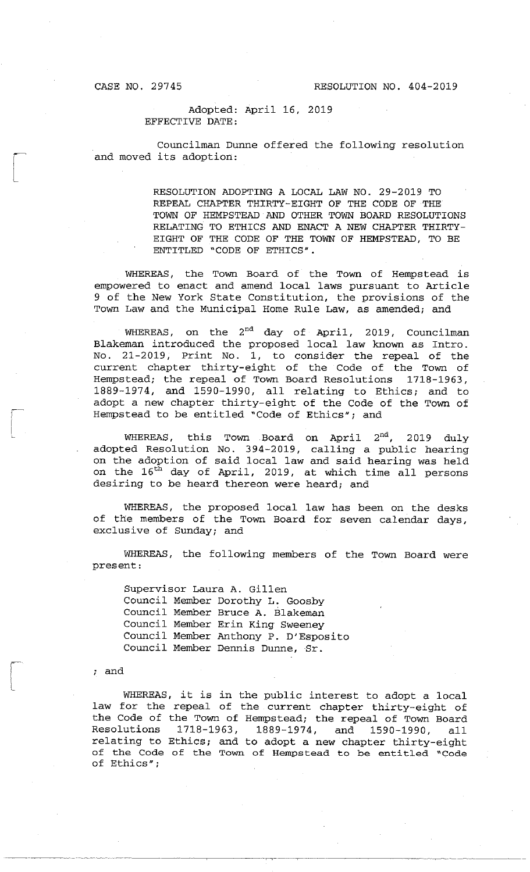$\begin{bmatrix} \phantom{-} \\ \phantom{-} \end{bmatrix}$ 

,-- / i L

i  $\overline{\mathcal{L}}$ 

### Adopted: April 16, 2019 EFFECTIVE DATE:

Councilman Dunne offered the following resolution and moved its adoption:

> RESOLUTION ADOPTING A LOCAL LAW NO. 29-2019 TO REPEAL CHAPTER THIRTY-EIGHT OF THE CODE OF THE TOWN OF HEMPSTEAD AND OTHER TOWN BOARD RESOLUTIONS RELATING TO ETHICS AND ENACT A NEW CHAPTER THIRTY-EIGHT OF THE CODE OF THE TOWN OF HEMPSTEAD, TO BE ENTITLED "CODE OF ETHICS".

WHEREAS, the Town Board of the Town of Hempstead is empowered to enact and amend local laws pursuant to Article 9 of the New York State Constitution, the provisions of the Town Law and the Municipal Home Rule Law, as amended; and

WHEREAS, on the  $2^{nd}$  day of April, 2019, Councilman Blakeman introduced the proposed local law known as Intro. No. 21-2019, Print No. l, to consider the repeal of the current chapter thirty-eight of the Code of the Town of Hempstead; the repeal of Town Board Resolutions 1718-1963, 1889-1974, and 1590-1990, all relating to Ethics; and to adopt a new chapter thirty-eight of the Code of the Town of Hempstead to be entitled "Code of Ethics"; and

WHEREAS, this Town Board on April  $2^{nd}$ , 2019 duly adopted Resolution No. 394-2019, calling a public hearing on the adoption of said local law and said hearing was held on the 16<sup>th</sup> day of April, 2019, at which time all persons desiring to be heard thereon were heard; and

WHEREAS, the proposed local law has been on the desks of the members of the Town Board for seven calendar days, exclusive of Sunday; and

WHEREAS, the following members of the Town Board were present:

Supervisor Laura A. Gillen Council Member Dorothy L. Goosby Council Member Bruce A. Blakeman Council Member Erin King Sweeney Council Member Anthony P. D'Esposito Council Member Dennis Dunne, Sr.

and

WHEREAS, it is in the public interest to adopt a local law for the repeal of the current chapter thirty-eight of the Code of the Town of Hempstead; the repeal of Town Board 1718-1963, 1889-1974, and 1590-1990, all relating to Ethics; and to adopt a new chapter thirty-eight of the Code of the Town of Hempstead to be entitled "Code of Ethics";

----------- -------------------~ ·--------r-·--··- ----------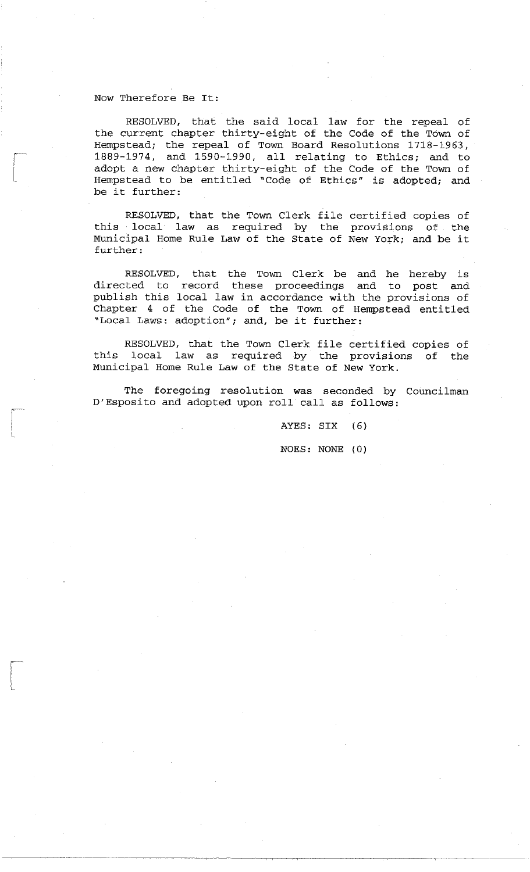#### Now Therefore Be It:

L

RESOLVED, that the said local law for the repeal of the current chapter thirty-eight of the Code of the Town of Hempstead; the repeal of Town Board Resolutions 1718-1963, 1889-1974, and 1590-1990, all relating to Ethics; and to adopt a new chapter thirty-eight of the Code of the Town of Hempstead to be entitled "Code of Ethics" is adopted; and be it further:

RESOLVED, that the Town Clerk file certified copies of this local law as required by the Municipal Home Rule Law of the State of further: provisions of the New York; and be it

RESOLVED, that the Town Clerk be and he hereby is directed to record these proceedings and to post and publish this local law in accordance with the provisions of Chapter 4 of the Code of the Town of Hempstead entitled "Local Laws: adoption"; and, be it further:

RESOLVED, that the Town Clerk file certified copies of this local law as required by the provisions of the Municipal Home Rule Law of the State of New York.

The foregoing resolution was seconded by Councilman D'Esposito and adopted upon roll call as follows:

> AYES: SIX (6) NOES: NONE (0)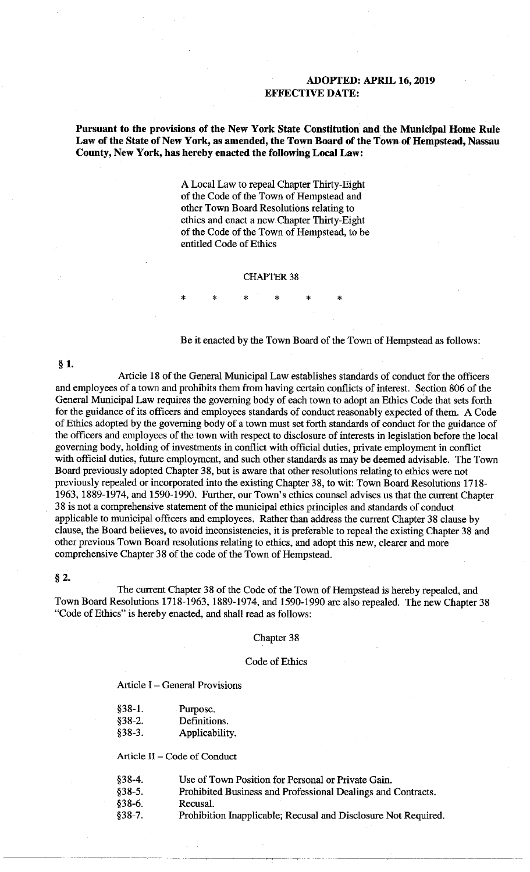# **ADOPTED: APRIL 16, 2019 EFFECTIVE DATE:**

**Pursuant to the provisions of the New York State Constitution and the Municipal Home Rule Law of the State of New York, as amended, the Town Board of the Town of Hempstead, Nassau County, New York, has hereby enacted the following Local Law:** 

> A Local Law to repeal Chapter Thirty-Eight of the Code of the Town of Hempstead and other Town Board Resolutions relating to ethics and enact a new Chapter Thirty-Eight of the Code of the Town of Hempstead, to be entitled Code of Ethics

#### **CHAPTER 38**

\* \* \* \* \* \*

Be it enacted by the Town Board of the Town of Hempstead as follows:

§ **1.** 

Article 18 of the General Municipal Law establishes standards of conduct for the officers and employees of a town and prohibits them from having certain conflicts of interest. Section 806 of the General Municipal Law requires the governing body of each town to adopt an Ethics Code that sets forth for the guidance of its officers and employees standards of conduct reasonably expected of them. A Code of Ethics adopted by the governing body of a town must set forth standards of conduct for the guidance of the officers and employees of the town with respect to disclosure of interests in legislation before the local governing body, holding of investments in conflict with official duties, private employment in conflict with official duties, future employment, and such other standards as may be deemed advisable. The Town Board previously adopted Chapter 38, but is aware that other resolutions relating to ethics were not previously repealed or incorporated into the existing Chapter 38, to wit: Town Board Resolutions 1718- 1963, 1889-1974, and 1590-1990. Further, our Town's ethics counsel advises us that the current Chapter 3 8 is not a comprehensive statement of the municipal ethics principles and standards of conduct applicable to municipal officers and employees. Rather than address the current Chapter 38 clause by clause, the Board believes, to avoid inconsistencies, it is preferable to repeal the existing Chapter 38 and other previous Town Board resolutions relating to ethics, and adopt this new, clearer and more comprehensive Chapter 38 of the code of the Town of Hempstead.

#### § 2.

The current Chapter 38 of the Code of the Town of Hempstead is hereby repealed, and Town Board Resolutions 1718-1963, 1889-1974, and 1590-1990 are also repealed. The new Chapter 38 "Code of Ethics" is hereby enacted, and shall read as follows:

#### Chapter 38

#### Code of Ethics

Article I - General Provisions

| §38-1. | Purpose. |
|--------|----------|
|--------|----------|

- §38-2. Definitions.
- §38-3. Applicability.

Article II - Code of Conduct

| $§38-4.$ | Use of Town Position for Personal or Private Gain. |
|----------|----------------------------------------------------|
|          |                                                    |

§38-5. Prohibited Business and Professional Dealings and Contracts.

-----------· -,- --

- §38-6. Recusal.
- §38-7. Prohibition Inapplicable; Recusal and Disclosure Not Required.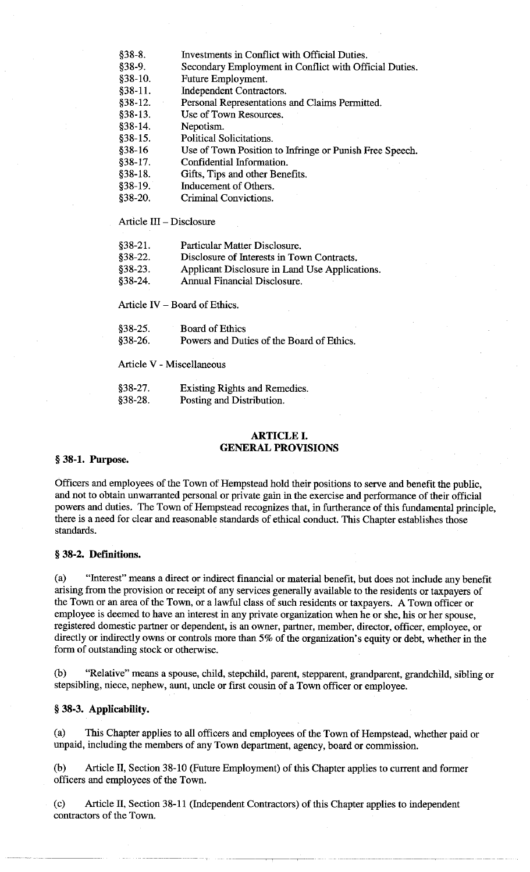- §38-8. Investments in Conflict with Official Duties.
- §38-9. Secondary Employment in Conflict with Official Duties.
- §38-10. Future Employment.
- §38-11. Independent Contractors.
- §38-12. Personal Representations and Claims Permitted.
- §38-13. Use of Town Resources.
- §38-14. Nepotism.
- §38-15. Political Solicitations.
- §38-16 Use of Town Position to Infringe or Punish Free Speech.
- §38-17. Confidential Information.
- §38-18. Gifts, Tips and other Benefits.
- §38-19. Inducement of Others.
- §38-20. Criminal Convictions.

Article III - Disclosure

- §38-22. Disclosure of Interests **in** Town Contracts.
- §38-23. Applicant Disclosure in Land Use Applications.
- §38-24. Annual Financial Disclosure.

Article IV - Board of Ethics.

| $$38-25.$ | <b>Board of Ethics</b>                    |  |
|-----------|-------------------------------------------|--|
| $§38-26.$ | Powers and Duties of the Board of Ethics. |  |

Article V - Miscellaneous

§38-27. §38-28. Existing Rights and Remedies. Posting and Distribution.

# **ARTICLE I. GENERAL PROVISIONS**

#### § **38-1. Purpose.**

Officers and employees of the Town of Hempstead hold their positions to serve and benefit the public, and not to obtain unwarranted personal or private gain in the exercise and performance of their official powers and duties. The Town of Hempstead recognizes that, in furtherance of this fundamental principle, there is a need for clear and reasonable standards of ethical conduct. This Chapter establishes those standards.

### § **38-2. Definitions.**

( a) "Interest" means a direct or indirect financial or material benefit, but does not include any benefit arising from the provision or receipt of any services generally available to the residents or taxpayers of the Town or an area of the Town, or a lawful class of such residents or taxpayers. A Town officer or employee is deemed to have an interest in any private organization when he or she, his or her spouse, registered domestic partner or dependent, is an owner, partner, member, director, officer, employee, or directly or indirectly owns or controls more than 5% of the organization's equity or debt, whether in the form of outstanding stock or otherwise.

(b) "Relative" means a spouse, child, stepchild, parent, stepparent, grandparent, grandchild, sibling or stepsibling, niece, nephew, aunt, uncle or first cousin of a Town officer or employee.

### § **38-3. Applicability.**

( a) This Chapter applies to all officers and employees of the Town of Hempstead, whether paid or unpaid, including the members of any Town department, agency, board or commission.

(b) Article II, Section 38-10 (Future Employment) of this Chapter applies to current and former officers and employees of the Town.

(c) Article II, Section 38-11 (Independent Contractors) of this Chapter applies to independent contractors of the Town.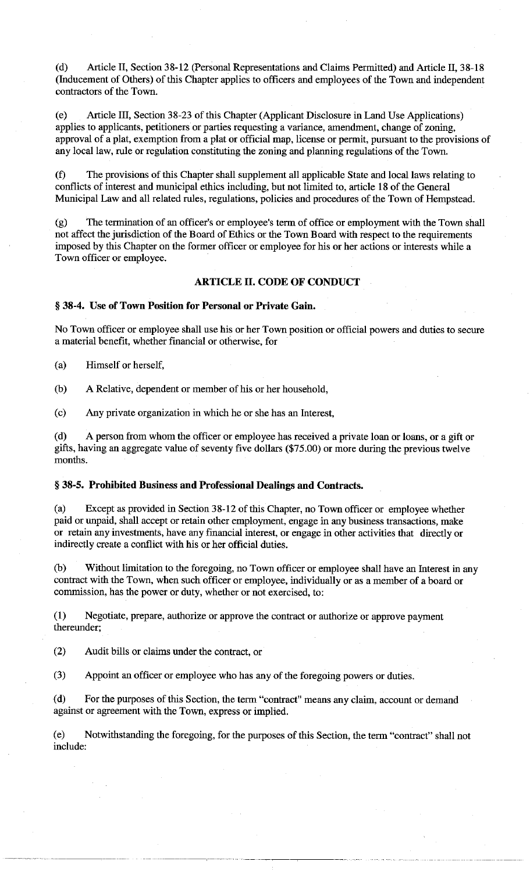(d) Article II, Section 38-12 (Personal Representations and Claims Permitted) and Article II, 38-18 (Inducement of Others) of this Chapter applies to officers and employees of the Town and independent contractors of the Town.

(e) Article III, Section 38-23 of this Chapter (Applicant Disclosure in Land Use Applications) applies to applicants, petitioners or parties requesting a variance, amendment, change of zoning, approval of a plat, exemption from a plat or official map, license or permit, pursuant to the provisions of any local law, rule or regulation constituting the zoning and planning regulations of the Town.

(f) The provisions of this Chapter shall supplement all applicable State and local laws relating to conflicts of interest and municipal ethics including, but not limited to, article 18 of the General Municipal Law and all related rules, regulations, policies and procedures of the Town of Hempstead.

(g) The termination of an officer's or employee's term of office or employment with the Town shall not affect the jurisdiction of the Board of Ethics or the Town Board with respect to the requirements imposed by this Chapter on the former officer or employee for his or her actions or interests while a Town officer or employee.

# **ARTICLE** II. **CODE OF CONDUCT**

### § **38-4. Use of Town Position for Personal or Private Gain.**

No Town officer or employee shall use his or her Town position or official powers and duties to secure a material benefit, whether financial or otherwise, for

(a) Himself or herself,

(b) A Relative, dependent or member of his or her household,

( c) Any private organization in which he or she has an Interest,

( d) A person from whom the officer or employee has received a private loan or loans, or a gift or gifts, having an aggregate value of seventy five dollars (\$75.00) or more during the previous twelve months.

# § **38-5. Prohibited Business and Professional Dealings and Contracts.**

(a) Except as provided in Section 38-12 of this Chapter, no Town officer or employee whether paid or unpaid, shall accept or retain other employment, engage in any business transactions, make or retain any investments, have any financial interest, or engage in other activities that directly or indirectly create a conflict with his or her official duties.

(b) Without limitation to the foregoing, no Town officer or employee shall have an Interest in any contract with the Town, when such officer or employee, individually or as a member of a board or commission, has the power or duty, whether or not exercised, to:

(1) Negotiate, prepare, authorize or approve the contract or authorize or approve payment thereunder;

(2) Audit bills or claims under the contract, or

(3) Appoint an officer or employee who has any of the foregoing powers or duties.

( d) For the purposes of this Section, the term "contract" means any claim, account or demand against or agreement with the Town, express or implied.

(e) Notwithstanding the foregoing, for the purposes of this Section, the term "contract" shall not include: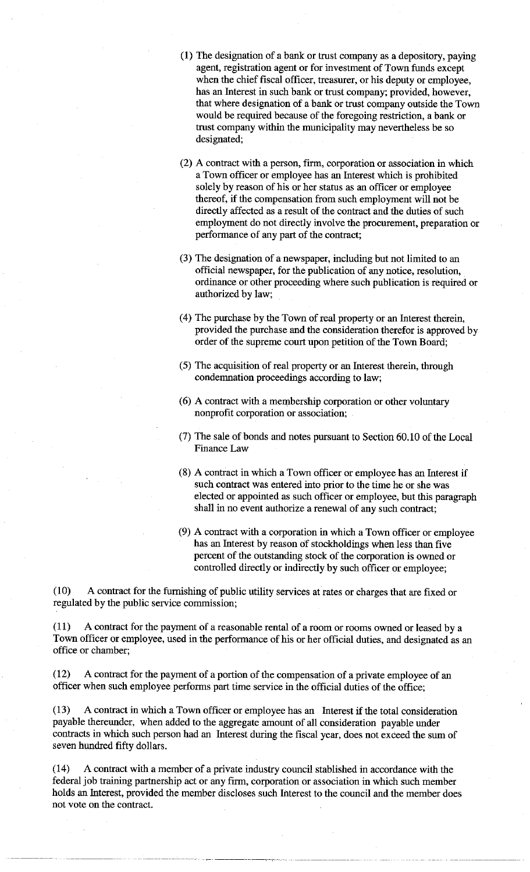- (1) The designation of a bank or trust company as a depository, paying agent, registration agent or for investment of Town funds except when the chief fiscal officer, treasurer, or his deputy or employee, has an Interest in such bank or trust company; provided, however, that where designation of a bank or trust company outside the Town would be required because of the foregoing restriction, a bank or trust company within the municipality may nevertheless be so designated;
- (2) A contract with a person, firm, corporation or association in which a Town officer or employee has an Interest which is prohibited solely by reason of his or her status as an officer or employee thereof, if the compensation from such employment will not be directly affected as a result of the contract and the duties of such employment do not directly involve the procurement, preparation or performance of any part of the contract;
- (3) The designation of a newspaper, including but not limited to an official newspaper, for the publication of any notice, resolution, ordinance or other proceeding where such publication is required or authorized by law;
- ( 4) The purchase by the Town of real property or an Interest therein, provided the purchase and the consideration therefor is approved by order of the supreme court upon petition of the Town Board;
- (5) The acquisition of real property or an Interest therein, through condemnation proceedings according to law;
- (6) A contract with a membership corporation or other voluntary nonprofit corporation or association;
- (7) The sale of bonds and notes pursuant to Section 60.10 of the Local Finance Law
- (8) A contract in which a Town officer or employee has an Interest if such contract was entered into prior to the time he or she was elected or appointed as such officer or employee, but this paragraph shall in no event authorize a renewal of any such contract;
- (9) A contract with a corporation in which a Town officer or employee has an Interest by reason of stockholdings when less than five percent of the outstanding stock of the corporation is owned or controlled directly or indirectly by such officer or employee;

(10) A contract for the furnishing of public utility services at rates or charges that are fixed or regulated by the public service commission;

(11) A contract for the payment of a reasonable rental of a room or rooms owned or leased by a Town officer or employee, used in the performance of his or her official duties, and designated as an office or chamber;

(12) A contract for the payment of a portion of the compensation of a private employee of an officer when such employee performs part time service in the official duties of the office;

(13) A contract in which a Town officer or employee has an Interest if the total consideration payable thereunder, when added to the aggregate amount of all consideration payable under contracts in which such person had an Interest during the fiscal year, does not exceed the sum of seven hundred fifty dollars.

(14) A contract with a member of a private industry council stablished in accordance with the federal job training partnership act or any firm, corporation or association in which such member holds an Interest, provided the member discloses such Interest to the council and the member does not vote on the contract.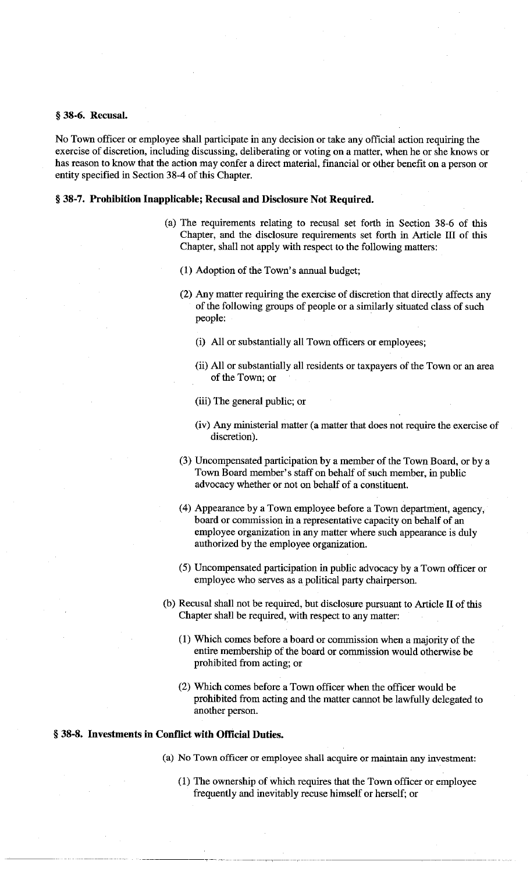#### § **38-6. Recusal.**

No Towu officer or employee shall participate in any decision or take any official action requiring the exercise of discretion, including discussing, deliberating or voting on a matter, when he or she knows or has reason to know that the action may confer a direct material, financial or other benefit on a person or entity specified in Section 38-4 of this Chapter.

## § **38-7. Prohibition Inapplicable; Recusal and Disclosure Not Required.**

- (a) The requirements relating to recusal set forth in Section 38-6 of this Chapter, and the disclosure requirements set forth in Article III of this Chapter, shall not apply with respect to the following matters:
	- (1) Adoption of the Towu's annual budget;
	- (2) Any matter requiring the exercise of discretion that directly affects any of the following groups of people or a similarly situated class of such people:
		- (i) All or substantially all Towu officers or employees;
		- (ii) All or substantially a11 residents or taxpayers of the Town or an area of the Town; or
		- (iii) The general public; or
		- (iv) Any ministerial matter (a matter that does not require the exercise of discretion).
	- (3) Uncompensated participation by a member of the Town Board, or by a Towu Board member's staff on behalf of such member, in public advocacy whether or not on behalf of a constituent.
	- (4) Appearance by a Towu employee before a Town department, agency, board or commission in a representative capacity on behalf of an employee organization in any matter where such appearance is duly authorized by the employee organization.
	- (5) Uncompensated participation in public advocacy by a Town officer or employee who serves as a political party chairperson.
- (b) Recusal shall not be required, but disclosure pursuant to Article II of this Chapter shall be required, with respect to any matter:
	- (1) Which comes before a board or commission when a majority of the entire membership of the board or commission would otherwise be prohibited from acting; or
	- (2) Which comes before a Town officer when the officer would be prohibited from acting and the matter cannot be lawfully delegated to another person.

# § **38-8. Investments in Conflict with Official Duties.**

- (a) No Towu officer or employee shall acquire or maintain any investment:
	- (1) The ownership of which requires that the Towu officer or employee frequently and inevitably recuse himself or herself; or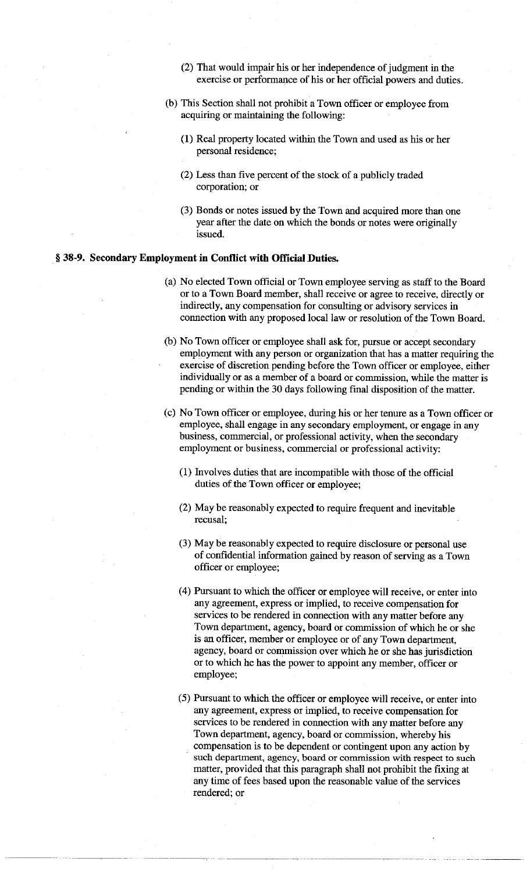- (2) That would impair his or her independence of judgment in the exercise or performance of his or her official powers and duties.
- (b) This Section shall not prohibit a Town officer or employee from acquiring or maintaining the following:
	- (1) Real property located within the Town and used as his or her personal residence;
	- (2) Less than five percent of the stock of a publicly traded corporation; or
	- (3) Bonds or notes issued by the Town and acquired more than one year after the date on which the bonds or notes were originally issued.

# § **38-9. Secondary Employment in Conflict with Official Duties.**

- (a) No elected Town official or Town employee serving as staff to the Board or to a Town Board member, shall receive or agree to receive, directly or indirectly, any compensation for consulting or advisory services in connection with any proposed local law or resolution of the Town Board.
- (b) No Town officer or employee shall ask for, pursue or accept secondary employment with any person or organization that has a matter requiring the exercise of discretion pending before the Town officer or employee, either individually or as a member of a board or commission, while the matter is pending or within the 30 days following final disposition of the matter.
- (c) No Town officer or employee, during his or her tenure as a Town officer or employee, shall engage in any secondary employment, or engage in any business, commercial, or professional activity, when the secondary employment or business, commercial or professional activity:
	- (1) Involves duties that are incompatible with those of the official duties of the Town officer or employee;
	- (2) May be reasonably expected to require frequent and inevitable recusal;
	- (3) May be reasonably expected to require disclosure or personal use of confidential information gained by reason of serving as a Town officer or employee;
	- ( 4) Pursuant to which the officer or employee will receive, or enter into any agreement, express or implied, to receive compensation for services to be rendered in connection with any matter before any Town department, agency, board or commission of which he or she is an officer, member or employee or of any Town department, agency, board or commission over which he or she has jurisdiction or to which he has the power to appoint any member, officer or employee;
	- (5) Pursuant to which the officer or employee will receive, or enter into any agreement, express or implied, to receive compensation for services to be rendered in connection with any matter before any Town department, agency, board or commission, whereby his compensation is to be dependent or contingent upon any action by such department, agency, board or commission with respect to such matter, provided that this paragraph shall not prohibit the fixing at any time of fees based upon the reasonable value of the services rendered; or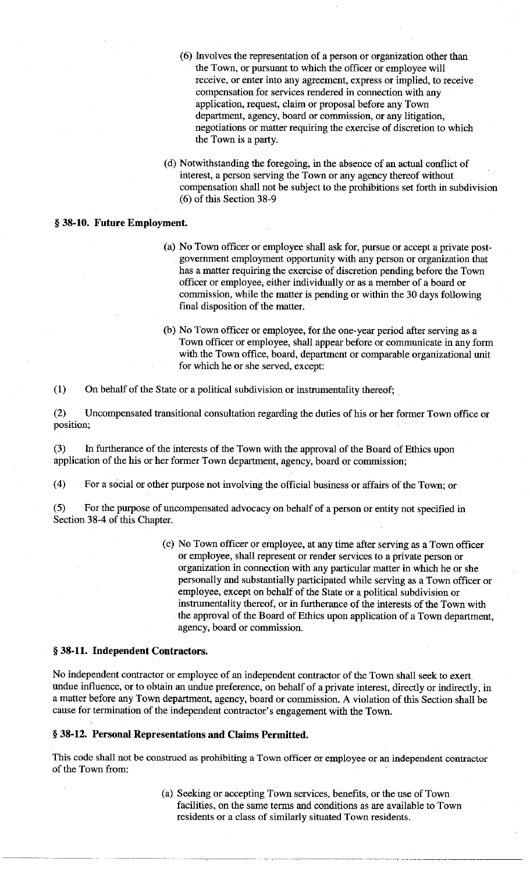- (6) Involves the representation of a person or organization other than the Town, or pursuant to which the officer or employee will receive, or enter into any agreement, express or implied, to receive compensation for services rendered in connection with any application, request, claim or proposal before any Town department, agency, board or commission, or any litigation, negotiations or matter requiring the exercise of discretion to which the Town is a party.
- (d) Notwithstanding the foregoing, in the absence of an actual conflict of interest, a person serving the Town or any agency thereof without compensation shall not be subject to the prohibitions set forth in subdivision (6) of this Section 38-9

## § **38-10. Future Employment.**

- (a) No Town officer or employee shall ask for, pursue or accept a private postgovernment employment opportunity with any person or organization that has a matter requiring the exercise of discretion pending before the Town officer or employee, either individually or as a member of a board or commission, while the matter is pending or within the 30 days following final disposition of the matter.
- (b) No Town officer or employee, for the one-year period after serving as a Town officer or employee, shall appear before or communicate in any form with the Town office, board, department or comparable organizational unit for which he or she served, except:

(1) On behalf of the State or a political subdivision or instrumentality thereof;

(2) Uncompensated transitional consultation regarding the duties of his or her former Town office or position;

(3) In furtherance of the interests of the Town with the approval of the Board of Ethics upon application of the his or her former Town department, agency, board or commission;

(4) For a social or other purpose not involving the official business or affairs of the Town; or

(5) For the purpose of uncompensated advocacy on behalf of a person or entity not specified in Section 38-4 of this Chapter.

> (c) No Town officer or employee, at any time after serving as a Town officer or employee, shall represent or render services to a private person or organization in connection with any particular matter in which he or she personally and substantially participated while serving as a Town officer or employee, except on behalf of the State or a political subdivision or instrumentality thereof, or in furtherance of the interests of the Town with the approval of the Board of Ethics upon application of a Town department, agency, board or commission.

### § **38-11. Independent Contractors.**

No independent contractor or employee of an independent contractor of the Town shall seek to exert. undue influence, or to obtain an undue preference, on behalf of a private interest, directly or indirectly, in a matter before any Town department, agency, board or commission. A violation of this Section shall be cause for termination of the independent contractor's engagement with the Town.

## § **38-12. Personal Representations and Claims Permitted.**

This code shall not be construed as prohibiting a Town officer or employee or an independent contractor of the Town from:

> (a) Seeking or accepting Town services, benefits, or the use of Town facilities, on the same terms and conditions as are available to Town residents or a class of similarly situated Town residents.

> > "----- -------- --------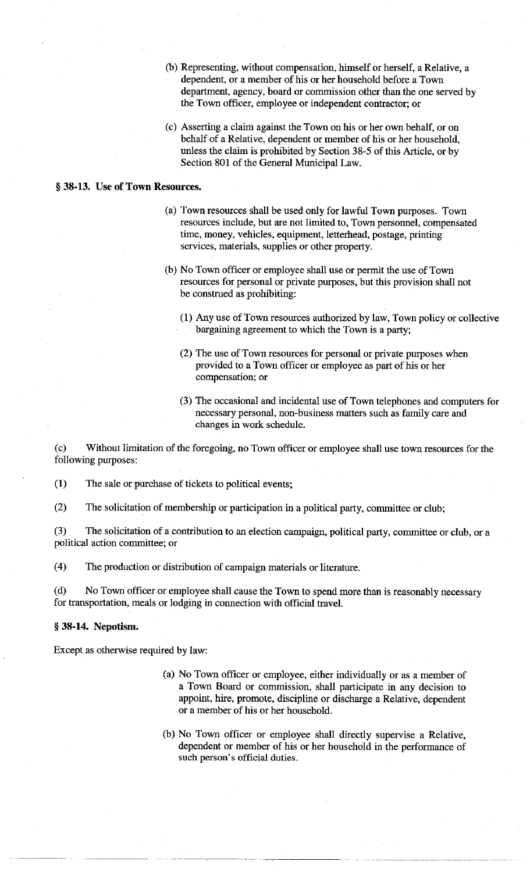- (b) Representing, without compensation, himself or herself, a Relative, a dependent, or a member of his or her household before a Town department, agency, board or commission other than the one served by the Town officer, employee or independent contractor; or
- ( c) Asserting a claim against the Town on his or her own behalf, or on behalf of a Relative, dependent or member of his or her household, unless the claim is prohibited by Section 38-5 of this Article, or by Section 801 of the General Municipal Law.

### § **38-13. Use of Town Resources.**

- (a) Town resources shall be used only for lawful Town purposes. Town resources include, but are not limited to, Town personnel, compensated time, money, vehicles, equipment, letterhead, postage, printing services, materials, supplies or other property.
- (b) No Town officer or employee shall use or permit the use of Town resources for personal or private purposes, but this provision shall not be construed as prohibiting:
	- (1) Any use of Town resources authorized by law, Town policy or collective bargaining agreement to which the Town is a party;
	- (2) The use of Town resources for personal or private purposes when provided to a Town officer or employee as part of his or her compensation; or
	- (3) The occasional and incidental use of Town telephones and computers for necessary personal, non-business matters such as family care and changes in work schedule.

( c) Without limitation of the foregoing, no Town officer or employee shall use town resources for the following purposes:

**(1)** The sale or purchase of tickets to political events;

(2) The solicitation of membership or participation in a political party, committee or club;

(3) The solicitation of a contribution to an election campaign, political party, committee or club, or a political action committee; or

( 4) The production or distribution of campaign materials or literature.

(d) No Town: officer or employee shall cause the Town to spend more than is reasonably necessary for transportation, meals or lodging in connection with official travel.

#### § **38-14. Nepotism.**

Except as otherwise required by law:

- (a) No Town officer or employee, either individually or as a member of a Town Board or commission, shall participate in any decision to appoint, hire, promote, discipline or discharge a Relative, dependent or a member of his or her household.
- (b) No Town officer or employee shall directly supervise a Relative, dependent or member of his or her household in the performance of such person's official duties.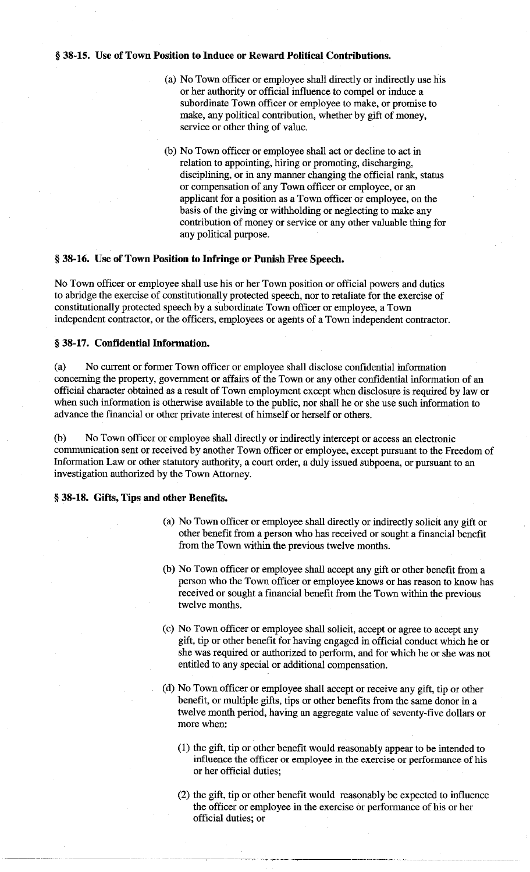## § **38-15. Use of Town Position to Induce or Reward Political Contributions.**

- (a) No Town officer or employee shall directly or indirectly use his or her authority or official influence to compel or induce a subordinate Town officer or employee to make, or promise to make, any political contribution, whether by gift of money, service or other thing of value.
- (b) No Town officer or employee shall act or decline to act in relation to appointing, hiring or promoting, discharging, disciplining, or in any manner changing the official rank, status or compensation of any Town officer or employee, or an applicant for a position as a Town officer or employee, on the basis of the giving or withholding or neglecting to make any contribution of money or service or any other valuable thing for any political purpose.

#### § **38-16. Use of Town Position to Infringe or Punish Free Speech.**

No Town officer or employee shall use his or her Town position or official powers and duties to abridge the exercise of constitutionally protected speech, nor to retaliate for the exercise of constitutionally protected speech by a subordinate Town officer or employee, a Town independent contractor, or the officers, employees or agents of a Town independent contractor.

# § **38-17. Confidential Information.**

(a) No current or former Town officer or employee shall disclose confidential information concerning the property, government or affairs of the Town or any other confidential information of an official character obtained as a result of Town employment except when disclosure is required by law or when such information is otherwise available to the public, nor shall he or she use such information to advance the financial or other private interest of himself or herself or others.

(b) No Town officer or employee shall directly or indirectly intercept or access an electronic communication sent or received by another Town officer or employee, except pursuant to the Freedom of Information Law or other statutory authority, a court order, a duly issued subpoena, or pursuant to an investigation authorized by the Town Attorney.

## § **38-18. Gifts, Tips and other Benefits.**

- (a) No Town officer or employee shall directly or indirectly solicit any gift or other benefit from a person who has received or sought a financial benefit from the Town within the previous twelve months.
- (b) No Town officer or employee shall accept any gift or other benefit from a person who the Town officer or employee knows or has reason to know has received or sought a financial benefit from the Town within the previous twelve months.
- ( c) No Town officer or employee shall solicit, accept or agree to accept any gift, tip or other benefit for having engaged in official conduct which he or she was required or authorized to perform, and for which he or she was not entitled to any special or additional compensation.
- ( d) No Town officer or employee shall accept or receive any gift, tip or other benefit, or multiple gifts, tips or other benefits from the same donor in a twelve month period, having an aggregate value of seventy-five dollars or more when:
	- (1) the gift, tip or other benefit would reasonably appear to be intended to influence the officer or employee in the exercise or performance of his or her official duties;
	- (2) the gift, tip or other benefit would reasonably be expected to influence the officer or employee in the exercise or performance of his or her official duties; or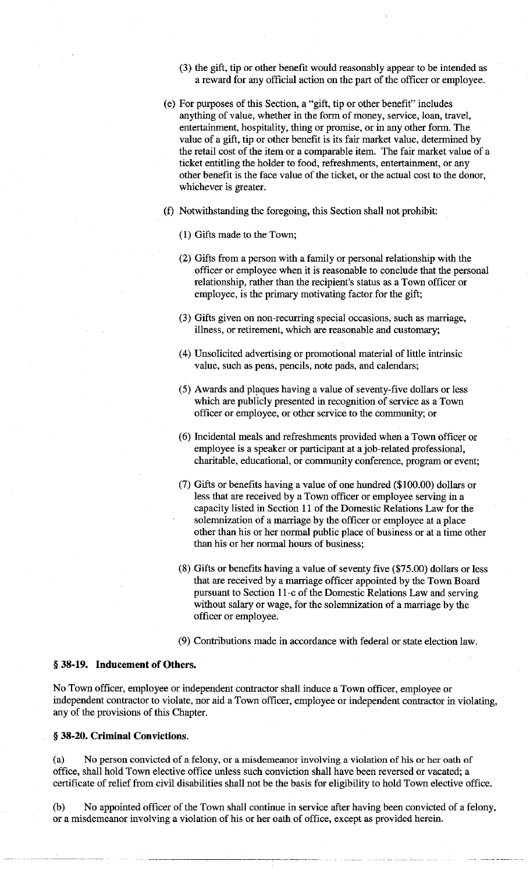- (3) the gift, tip or other benefit would reasonably appear to be intended as a reward for any official action on the part of the officer or employee.
- ( e) For purposes of this Section, a "gift, tip or other benefit" includes anything of value, whether in the form of money, service, loan, travel, entertainment, hospitality, thing or promise, or in any other form. The value of a gift, tip or other benefit is its fair market value, determined by the retail cost of the item or a comparable item. The fair market value of a ticket entitling the holder to food, refreshments, entertainment, or any other benefit is the face value of the ticket, or the actual cost to the donor, whichever is greater.
- (f) Notwithstanding the foregoing, this Section shall not prohibit:
	- **(1)** Gifts made to the Town;
	- (2) Gifts from a person with a family or personal relationship with the officer or employee when it is reasonable to conclude that the personal relationship, rather than the recipient's status as a Town officer or employee, is the primary motivating factor for the gift;
	- (3) Gifts given on non-recurring special occasions, such as marriage, illness, or retirement, which are reasonable and customary;
	- (4) Unsolicited advertising or promotional material of little intrinsic value, such as pens, pencils, note pads, and calendars;
	- (5) Awards and plaques having a value of seventy-five dollars or less which are publicly presented in recognition of service as a Town officer or employee, or other service to the community; or
	- (6) Incidental meals and refreshments provided when a Town officer or employee is a speaker or participant at a job-related professional, charitable, educational, or community conference, program or event;
	- (7) Gifts or benefits having a value of one hundred (\$ 100.00) dollars or less that are received by a Town officer or employee serving in a capacity listed in Section 11 of the Domestic Relations Law for the solemnization of a marriage by the officer or employee at a place other than his or her normal public place of business or at a time other than his or her normal hours of business;
	- (8) Gifts or benefits having a value of seventy five (\$75.00) dollars or less that are received by a marriage officer appointed by the Town Board pursuant to Section 11-c of the Domestic Relations Law and serving without salary or wage, for the solemnization of a marriage by the officer or employee.
	- (9) Contributions made in accordance with federal or state election law.

## § **38-19. Inducement of Others.**

No Town officer, employee or independent contractor shall induce a Town officer, employee or independent contractor to violate, nor aid a Town officer, employee or independent contractor in violating, any of the provisions of this Chapter.

#### § **38-20. Criminal Convictions.**

(a) No person convicted of a felony, or a misdemeanor involving a violation of his or her oath of office, shall hold Town elective office unless such conviction shall have been reversed or vacated; a certificate of relief from civil disabilities shall not be the basis for eligibility to hold Town elective office.

(b) No appointed officer of the Town shall continue in service after having been convicted of a felony, or a misdemeanor involving a violation of his or her oath of office, except as provided herein.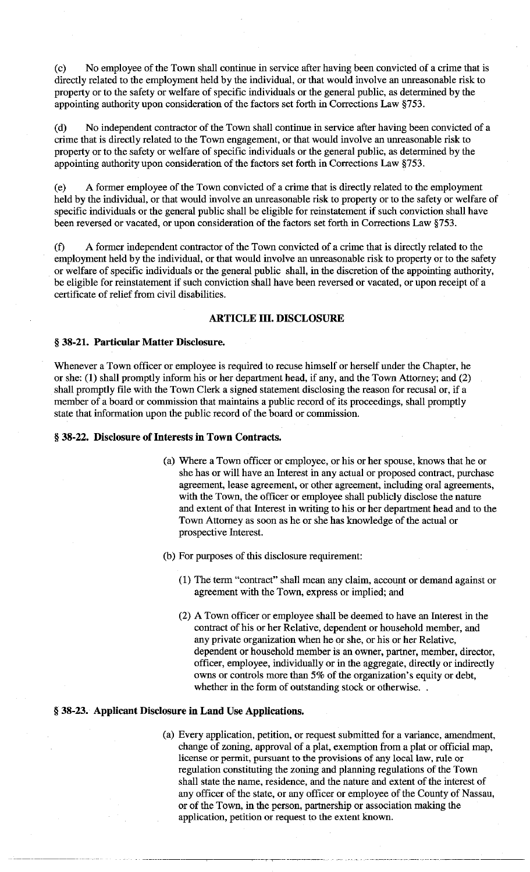(c) No employee of the Town shall continue in service after having been convicted of a crime that is directly related to the employment held by the individual, or that would involve an unreasonable risk to property or to the safety or welfare of specific individuals or the general public, as determined by the appointing authority upon consideration of the factors set forth in Corrections Law §753.

( d) No independent contractor of the Town shall continue in service after having been convicted of a crime that is directly related to the Town engagement, or that would involve an unreasonable risk to property or to the safety or welfare of specific individuals or the general public, as determined by the appointing authority upon consideration of the factors set forth in Corrections Law §753.

(e) A former employee of the Town convicted of a crime that is directly related to the employment held by the individual, or that would involve an unreasonable risk to property or to the safety or welfare of specific individuals or the general public shall be eligible for reinstatement if such conviction shall have been reversed or vacated, or upon consideration of the factors set forth in Corrections Law §753.

(f) A former independent contractor of the Town convicted of a crime that is directly related to the employment held by the individual, or that would involve an unreasonable risk to property or to the safety or welfare of specific individuals or the general public shall, in the discretion of the appointing authority, be eligible for reinstatement if such conviction shall have been reversed or vacated, or upon receipt of a certificate of relief from civil disabilities.

# **ARTICLE III. DISCLOSURE**

## § **38-21. Particular Matter Disclosure.**

Whenever a Town officer or employee is required to recuse himself or herself under the Chapter, he or she: **(1)** shall promptly inform his or her department head, if any, and the Town Attorney; and (2) shall promptly file with the Town Clerk a signed statement disclosing the reason for recusal or, if a member of a board or commission that maintains a public record of its proceedings, shall promptly state that information upon the public record of the board or commission.

## § 38-22. Disclosure of Interests in Town Contracts.

- (a) Where a Town officer or employee, or his or her spouse, knows that he or she has or will have an Interest in any actual or proposed contract, purchase agreement, lease agreement, or other agreement, including oral agreements, with the Town, the officer or employee shall publicly disclose the nature and extent of that Interest in writing to his or her department head and to the Town Attorney as soon as he or she has knowledge of the actual or prospective Interest.
- (b) For purposes of this disclosure requirement:
	- (1) The term "contract" shall mean any claim, account or demand against or agreement with the Town, express or implied; and
	- (2) A Town officer or employee shall be deemed to have an Interest in the contract of his or her Relative, dependent or household member, and any private organization when he or she, or his or her Relative, dependent or household member is an owner, partner, member, director, officer, employee, individually or in the aggregate, directly or indirectly owns or controls more than 5% of the organization's equity or debt, whether in the form of outstanding stock or otherwise...

## § **38-23. Applicant Disclosure in Land Use Applications.**

( a) Every application, petition, or request submitted for a variance, amendment, change of zoning, approval of a plat, exemption from a plat or official map, license or permit, pursuant to the provisions of any local law, rule or regulation constituting the zoning and planning regulations of the Town shall state the name, residence, and the nature and extent of the interest of any officer of the state, or any officer or employee of the County of Nassau, or of the Town, in the person, partnership or association making the application, petition or request to the extent known.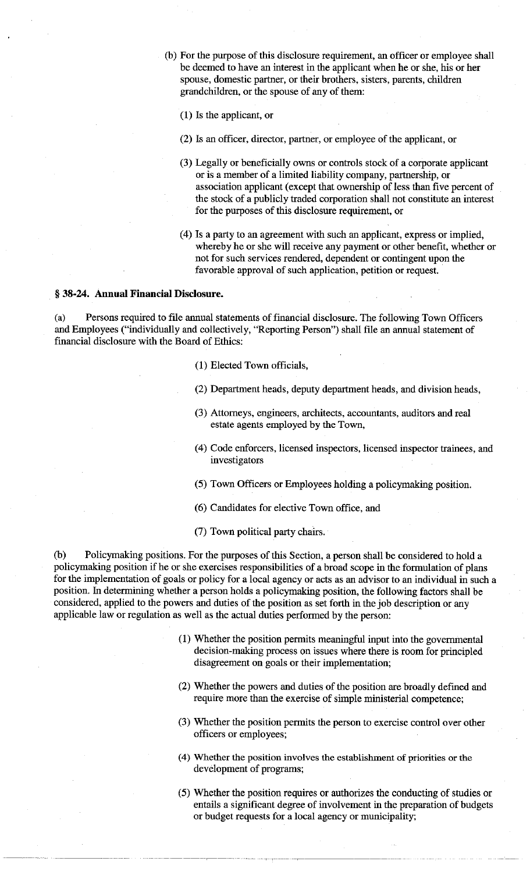(b) For the purpose of this disclosure requirement, an officer or employee shall be deemed to have an interest in the applicant when he or she, his or her spouse, domestic partner, or their brothers, sisters, parents, children grandchildren, or the spouse of any of them:

(1) Is the applicant, or

- (2) Is an officer, director, partner, or employee of the applicant, or
- (3) Legally or beneficially owns or controls stock of a corporate applicant or is a member of a limited liability company, partnership, or association applicant ( except that ownership of less than five percent of the stock of a publicly traded corporation shall not constitute an interest for the purposes of this disclosure requirement, or
- ( 4) Is a party to an agreement with such an applicant, express or implied, whereby he or she will receive any payment or other benefit, whether or not for such services rendered, dependent or contingent upon the favorable approval of such application, petition or request.

#### § **38-24. Annual Financial Disclosure.**

(a) Persons required to file annual statements of financial disclosure. The following Town Officers and Employees ("individually and collectively, "Reporting Person") shall file an annual statement of financial disclosure with the Board of Ethics:

- (1) Elected Town officials,
- (2) Department heads, deputy department heads, and division heads,
- (3) Attorneys, engineers, architects, accountants, auditors and real estate agents employed by the Town,
- ( 4) Code enforcers, licensed inspectors, licensed inspector trainees, and investigators
- (5) Town Officers or Employees holding a policymaking position.
- (6) Candidates for elective Town office, and
- (7) Town political party chairs.

(b) Policymaking positions. For the purposes of this Section, a person shall be considered to hold a policymaking position if he or she exercises responsibilities of a broad scope in the formulation of plans for the implementation of goals or policy for a local agency or acts as an advisor to an individual in such a position. In determining whether a person holds a policymaking position, the following factors shall be considered, applied to the powers and duties of the position as set forth in the job description or any applicable law or regulation as well as the actual duties performed by the person:

- (1) Whether the position permits meaningful input into the governmental decision-making process on issues where there is room for principled disagreement on goals or their implementation;
- (2) Whether the powers and duties of the position are broadly defined and require more than the exercise of simple ministerial competence;
- (3) Whether the position permits the person to exercise control over other officers or employees;
- ( 4) Whether the position involves the establishment of priorities or the development of programs;
- (5) Whether the position requires or authorizes the conducting of studies or entails a significant degree of involvement in the preparation of budgets or budget requests for a local agency or municipality;

. ,- ,-------- ---------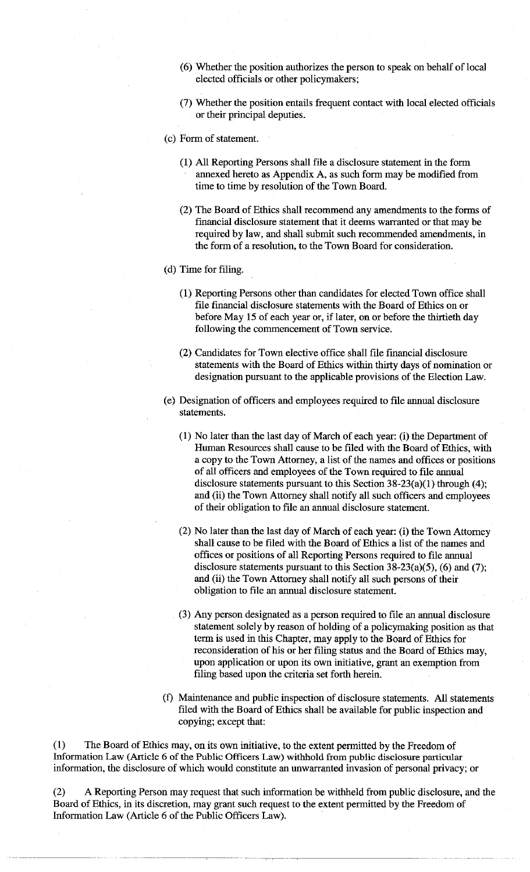- (6) Whether the position authorizes the person to speak on behalf of local elected officials or other policymakers;
- (7) Whether the position entails frequent contact with local elected officials or their principal deputies.
- (c) Form of statement.
	- (1) All Reporting Persons shall file a disclosure statement in the form annexed hereto as Appendix A, as such form may be modified from time to time by resolution of the Town Board.
	- (2) The Board of Ethics shall recommend any amendments to the forms of financial disclosure statement that it deems warranted or that may be required by law, and shall submit such recommended amendments, in the form of a resolution, to the Town Board for consideration.
- (d) Time for filing.
	- (1) Reporting Persons other than candidates for elected Town office shall file financial disclosure statements with the Board of Ethics on or before May 15 of each year or, if later, on or before the thirtieth day following the commencement of Town service.
	- (2) Candidates for Town elective office shall file financial disclosure statements with the Board of Ethics within thirty days of nomination or designation pursuant to the applicable provisions of the Election Law.
- ( e) Designation of officers and employees required to file annual disclosure statements.
	- (1) No later than the last day of March of each year: (i) the Department of Human Resources shall cause to be filed with the Board of Ethics, with a copy to the Town Attorney, a list of the names and offices or positions of all officers and employees of the Town required to file annual disclosure statements pursuant to this Section  $38-23(a)(1)$  through (4); and (ii) the Town Attorney shall notify all such officers and employees of their obligation to file an annual disclosure statement.
	- (2) No later than the last day of March of each year: (i) the Town Attorney shall cause to be filed with the Board of Ethics a list of the names and offices or positions of all Reporting Persons required to file annual disclosure statements pursuant to this Section  $38-23(a)(5)$ , (6) and (7); and (ii) the Town Attorney shall notify all such persons of their obligation to file an annual disclosure statement.
	- (3) Any person designated as a person required to file an annual disclosure statement solely by reason of holding of a policymaking position as that term is used in this Chapter, may apply to the Board of Ethics for reconsideration of his or her filing status and the Board of Ethics may, upon application or upon its own initiative, grant an exemption from filing based upon the criteria set forth herein.
- (f) Maintenance and public inspection of disclosure statements. All statements filed with the Board of Ethics shall be available for public inspection and copying; except that:

(1) The Board of Ethics may, on its own initiative, to the extent permitted by the Freedom of Information Law (Article 6 of the Public Officers Law) withhold from public disclosure particular information, the disclosure of which would constitute an unwarranted invasion of personal privacy; or

(2) A Reporting Person may request that such information be withheld from public disclosure, and the Board of Ethics, in its discretion, may grant such request to the extent permitted by the Freedom of Information Law (Article 6 of the Public Officers Law).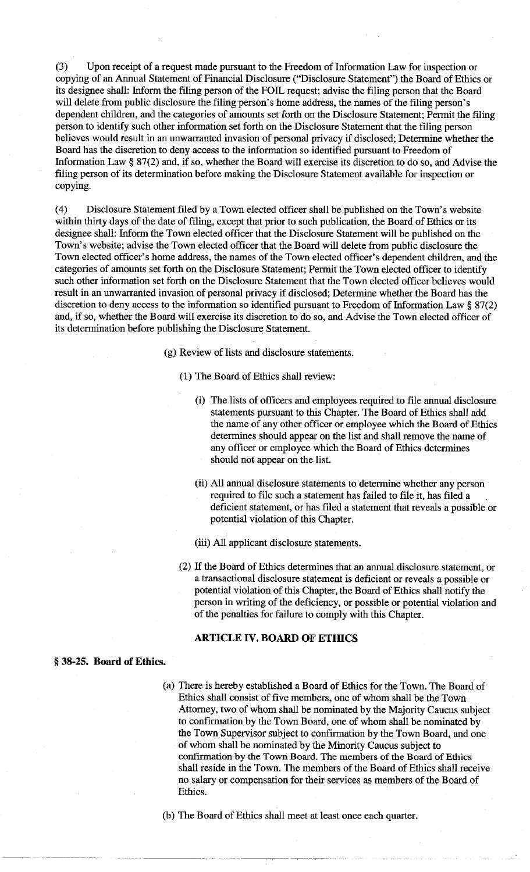(3) Upon receipt of a request made pursuant to the Freedom of Information Law for inspection or copying of an Annual Statement of Financial Disclosure ("Disclosure Statement") the Board of Ethics or its designee shall: Inform the filing person of the FOIL request; advise the filing person that the Board will delete from public disclosure the filing person's home address, the names of the filing person's dependent children, and the categories of amounts set forth on the Disclosure Statement; Permit the filing person to identify such other information set forth on the Disclosure Statement that the filing person believes would result in an unwarranted invasion of personal privacy if disclosed; Determine whether the Board has the discretion to deny access to the information so identified pursuant to Freedom of Information Law§ 87(2) and, if so, whether the Board will exercise its discretion to do so, and Advise the filing person of its determination before making the Disclosure Statement available for inspection or copying.

(4) Disclosure Statement filed by a Town elected officer shall be published on the Town's website within thirty days of the date of filing, except that prior to such publication, the Board of Ethics or its designee shall: Inform the Town elected officer that the Disclosure Statement will be published on the Town's website; advise the Town elected officer that the Board will delete from public disclosure the Town elected officer's home address, the names of the Town elected officer's dependent children, and the categories of amounts set forth on the Disclosure Statement; Permit the Town elected officer to identify such other information set forth on the Disclosure Statement that the Town elected officer believes would result in an unwarranted invasion of personal privacy if disclosed; Determine whether the Board has the discretion to deny access to the information so identified pursuant to Freedom of Information Law § 87(2) and, if so, whether the Board will exercise its discretion to do so, and Advise the Town elected officer of its determination before publishing the Disclosure Statement.

(g) Review of lists and disclosure statements.

- (1) The Board of Ethics shall review:
	- (i) The lists of officers and employees required to file annual disclosure statements pursuant to this Chapter. The Board of Ethics shall add the name of any other officer or employee which the Board of Ethics determines should appear on the list and shall remove the name of any officer or employee which the Board of Ethics determines should not appear on the list.
	- (ii) All annual disclosure statements to determine whether any person required to file such a statement has failed to file it, has filed a deficient statement, or has filed a statement that reveals a possible or potential violation of this Chapter.

(iii) All applicant disclosure statements.

(2) If the Board of Ethics determines that an annual disclosure statement, or a transactional disclosure statement is deficient or reveals a possible or potential violation of this Chapter, the Board of Ethics shall notify the person in writing of the deficiency, or possible or potential violation and of the penalties for failure to comply with this Chapter.

# **ARTICLE IV. BOARD OF ETHICS**

#### § **38-25. Board of Ethics.**

(a) There is hereby established a Board of Ethics for the Town. The Board of Ethics shall consist of five members, one of whom shall be the Town Attorney, two of whom shall be nominated by the Majority Caucus subject to confirmation by the Town Board, one of whom shall be nominated by the Town Supervisor subject to confirmation by the Town Board, and one of whom shall be nominated by the Minority Caucus subject to confirmation by the Town Board. The members of the Board of Ethics shall reside in the Town. The members of the Board of Ethics shall receive no salary or compensation for their services as members of the Board of Ethics.

(b) The Board of Ethics shall meet at least once each quarter.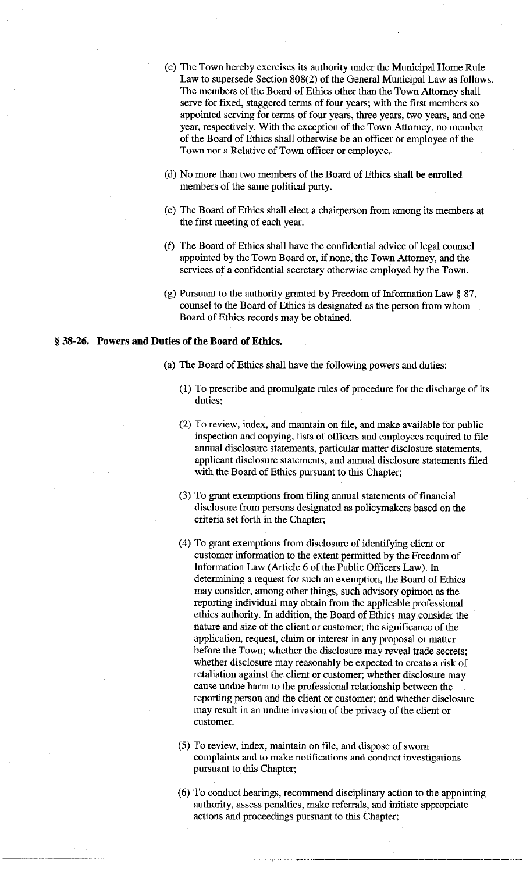- (c) The Town hereby exercises its authority under the Municipal Home Rule Law to supersede Section 808(2) of the General Municipal Law as follows. The members of the Board of Ethics other than the Town Attorney shall serve for fixed, staggered terms of four years; with the first members so appointed serving for terms of four years, three years, two years, and one year, respectively. With the exception of the Town Attorney, no member of the Board of Ethics shall otherwise be an officer or employee of the Town nor a Relative of Town officer or employee.
- (d) No more than two members of the Board of Ethics shall be enrolled members of the same political party.
- (e) The Board of Ethics shall elect a chairperson from among its members at the first meeting of each year.
- (f) The Board of Ethics shall have the confidential advice of legal counsel appointed by the Town Board or, if none, the Town Attorney, and the services of a confidential secretary otherwise employed by the Town.
- (g) Pursuant to the authority granted by Freedom of Information Law § 87, counsel to the Board of Ethics is designated as the person from whom Board of Ethics records may be obtained.

## § **38-26. Powers and Duties of the Board of Ethics.**

- (a) The Board of Ethics shall have the following powers and duties:
	- (1) To prescribe and promulgate rules of procedure for the discharge of its duties;
	- (2) To review, index, and maintain on file, and make available for public inspection and copying, lists of officers and employees required to file annual disclosure statements, particular matter disclosure statements, applicant disclosure statements, and annual disclosure statements filed with the Board of Ethics pursuant to this Chapter;
	- (3) To grant exemptions from filing annual statements of financial disclosure from persons designated as policymakers based on the criteria set forth in the Chapter;
	- ( 4) To grant exemptions from disclosure of identifying client or customer information to the extent permitted by the Freedom of Information Law (Article 6 of the Public Officers Law). In determining a request for such an exemption, the Board of Ethics may consider, among other things, such advisory opinion as the reporting individual may obtain from the applicable professional ethics authority. In addition, the Board of Ethics may consider the nature and size of the client or customer; the significance of the application, request, claim or interest in any proposal or matter before the Town; whether the disclosure may reveal trade secrets; whether disclosure may reasonably be expected to create a risk of retaliation against the client or customer; whether disclosure may cause undue harm to the professional relationship between the reporting person and the client or customer; and whether disclosure may result in an undue invasion of the privacy of the client or customer.
	- (5) To review, index, maintain on file, and dispose of sworn complaints and to make notifications and conduct investigations pursuant to this Chapter;
	- (6) To conduct hearings, recommend disciplinary action to the appointing authority, assess penalties, make referrals, and initiate appropriate actions and proceedings pursuant to this Chapter;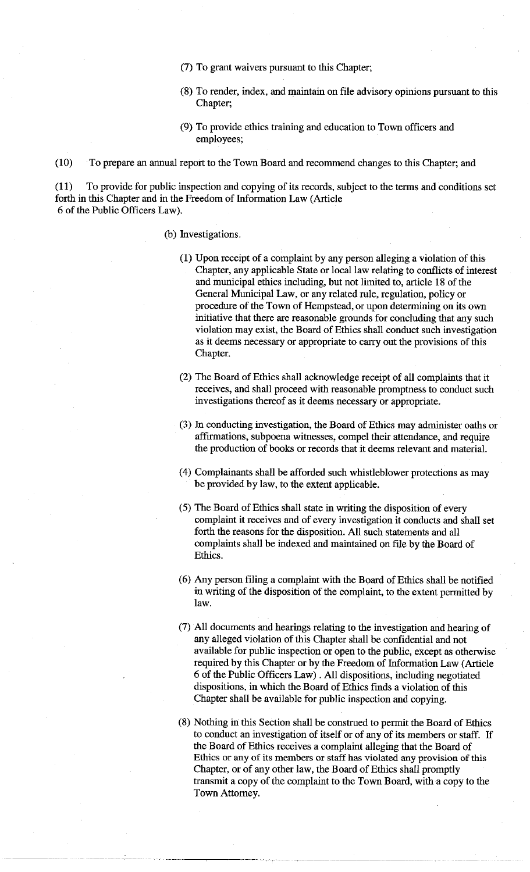- (7) To grant waivers pursuant to this Chapter;
- (8) To render, index, and maintain on file advisory opinions pursuant to this Chapter;
- (9) To provide ethics training and education to Town officers and employees;

(10) To prepare an annual report to the Town Board and recommend changes to this Chapter; and

(11) To provide for public inspection and copying of its records, subject to the terms and conditions set forth in this Chapter and in the Freedom of Information Law (Article 6 of the Public Officers Law).

# (b) Investigations.

- (1) Upon receipt of a complaint by any person alleging a violation of this Chapter, any applicable State or local law relating to conflicts of interest and municipal ethics including, but not limited to, article 18 of the General Municipal Law, or any related rule, regulation, policy or procedure of the Town of Hempstead, or upon determining on its own initiative that there are reasonable grounds for concluding that any such violation may exist, the Board of Ethics shall conduct such investigation as it deems necessary or appropriate to carry out the provisions of this Chapter.
- (2) The Board of Ethics shall acknowledge receipt of all complaints that it receives, and shall proceed with reasonable promptness to conduct such investigations thereof as it deems necessary or appropriate.
- (3) In conducting investigation, the Board of Ethics may administer oaths or affirmations, subpoena witnesses, compel their attendance, and require the production of books or records that it deems relevant and material.
- (4) Complainants shall be afforded such whistleblower protections as may be provided by law, to the extent applicable.
- (5) The Board of Ethics shall state in writing the disposition of every complaint it receives and of every investigation it conducts and shall set forth the reasons for the disposition. All such statements and all complaints shall be indexed and maintained on file by the Board of Ethics.
- (6) Any person filing a complaint with the Board of Ethics shall be notified in writing of the disposition of the complaint, to the extent permitted by law.
- (7) All documents and hearings relating to the investigation and hearing of any alleged violation of this Chapter shall be confidential and not available for public inspection or open to the public, except as otherwise required by this Chapter or by the Freedom of Information Law (Article 6 of the Public Officers Law) . All dispositions, including negotiated dispositions, in which the Board of Ethics finds a violation of this Chapter shall be available for public inspection and copying.
- (8) Nothing in this Section shall be construed to permit the Board of Ethics to conduct an investigation of itself or of any of its members or staff. If the Board of Ethics receives a complaint alleging that the Board of Ethics or any of its members or staff has violated any provision of this Chapter, or of any other law, the Board of Ethics shall promptly transmit a copy of the complaint to the Town Board, with a copy to the Town Attorney.

------------ ·,- ,-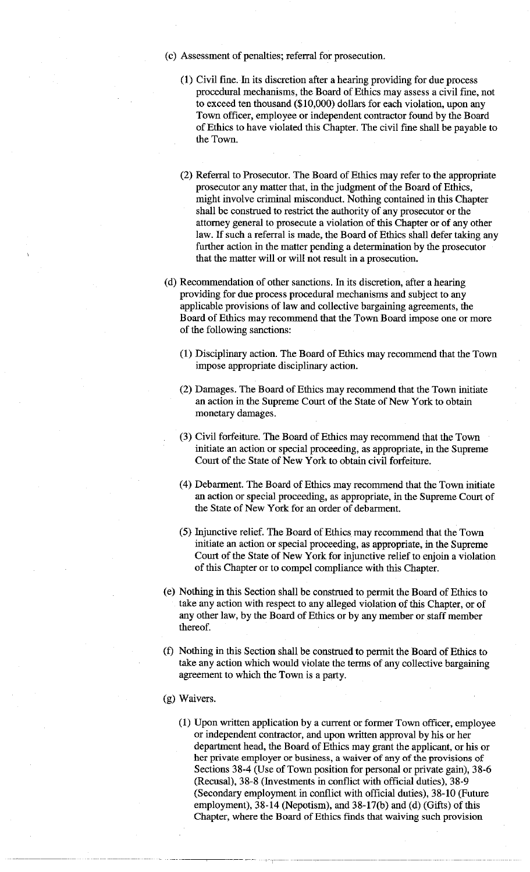- ( c) Assessment of penalties; referral for prosecution.
	- (1) Civil fine. In its discretion after a hearing providing for due process procedural mechanisms, the Board of Ethics may assess a civil fine, not to exceed ten thousand (\$10,000) dollars for each violation, upon any Town officer, employee or independent contractor found by the Board of Ethics to have violated this Chapter. The civil fine shall be payable to the Town.
	- (2) Referral to Prosecutor. The Board of Ethics may refer to the appropriate prosecutor any matter that, in the judgment of the Board of Ethics, might involve criminal misconduct. Nothing contained in this Chapter shall be construed to restrict the authority of any prosecutor or the attorney general to prosecute a violation of this Chapter or of any other law. If such a referral is made, the Board of Ethics shall defer taking any further action in the matter pending a determination by the prosecutor that the matter will or will not result in a prosecution.
- ( d) Recommendation of other sanctions. In its discretion, after a hearing providing for due process procedural mechanisms and subject to any applicable provisions of law and collective bargaining agreements, the Board of Ethics may recommend that the Town Board impose one or more of the following sanctions:
	- (1) Disciplinary action. The Board of Ethics may recommend that the Town impose appropriate disciplinary action.
	- (2) Damages. The Board of Ethics may recommend that the Town initiate an action in the Supreme Court of the State of New York to obtain monetary damages.
	- (3) Civil forfeiture. The Board of Ethics may recommend that the Town initiate an action or special proceeding, as appropriate, in the Supreme Court of the State of New York to obtain civil forfeiture.
	- (4) Debarment. The Board of Ethics may recommend that the Town initiate an action or special proceeding, as appropriate, in the Supreme Court of the State of New York for an order of debarment.
	- (5) Injunctive relief. The Board of Ethics. may recommend that the Town initiate an action or special proceeding, as appropriate, in the Supreme Court of the State of New York for injunctive relief to enjoin a violation of this Chapter or to compel compliance with this Chapter.
- (e) Nothing in this Section shall be construed to permit the Board of Ethics to take any action with respect to any alleged violation of this Chapter, or of any other law, by the Board of Ethics or by any member or staff member thereof.
- (f) Nothing in this Section shall be construed to permit the Board of Ethics to take any action which would violate the terms of any collective bargaining agreement to which the Town is a party.
- (g) Waivers.
	- (1) Upon written application by a current or former Town officer, employee or independent contractor, and upon written approval by his or her department head, the Board of Ethics may grant the applicant, or his or her private employer or business, a waiver of any of the provisions of Sections 38-4 (Use of Town position for personal or private gain), 38-6 (Recusal), 38-8 (Investments in conflict with official duties), 38-9 (Secondary employment in conflict with official duties), 38-10 (Future employment), 38-14 (Nepotism), and 38-17(b) and (d) (Gifts) of this Chapter, where the Board of Ethics finds that waiving such provision

----------·-------- -----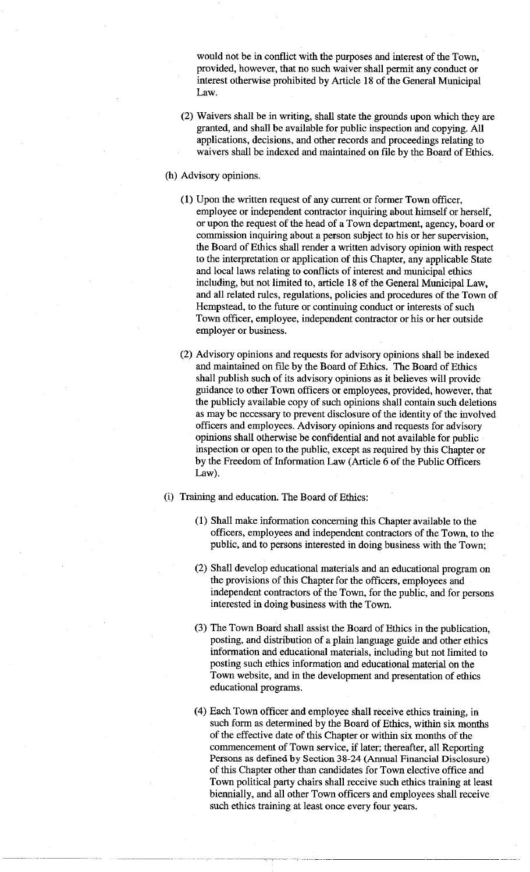would not be in conflict with the purposes and interest of the Town, provided, however, that no such waiver shall permit any conduct or interest otherwise prohibited by Article 18 of the General Municipal Law.

- (2) Waivers shall be in writing, shall state the grounds upon which they are granted, and shall be available for public inspection and copying. All applications, decisions, and other records and proceedings relating to waivers shall be indexed and maintained on file by the Board of Ethics.
- (h) Advisory opinions.
	- ( 1) Upon the written request of any current or former Town officer, employee or independent contractor inquiring about himself or herself, or upon the request of the head of a Town department, agency, board or commission inquiring about a person subject to his or her supervision, the Board of Ethics shall render a written advisory opinion with respect to the interpretation or application of this Chapter, any applicable State and local laws relating to conflicts of interest and municipal ethics including, but not limited to, article 18 of the General Municipal Law, and all related rules, regulations, policies and procedures of the Town of Hempstead, to the future or continuing conduct or interests of such Town officer, employee, independent contractor or his or her outside employer or business.
	- (2) Advisory opinions and requests for advisory opinions shall be indexed and maintained on file by the Board of Ethics. The Board of Ethics shall publish such of its advisory opinions as it believes will provide guidance to other Town officers or employees, provided, however, that the publicly available copy of such opinions shall contain such deletions as may be necessary to prevent disclosure of the identity of the involved officers and employees. Advisory opinions and requests for advisory opinions shall otherwise be confidential and not available for public inspection or open to the public, except as required by this Chapter or by the Freedom of Information Law (Article 6 of the Public Officers Law).
- (i) Training and education. The Board of Ethics:
	- (1) Shall make information concerning this Chapter available to the officers, employees and independent contractors of the Town, to the public, and to persons interested in doing business with the Town;
	- (2) Shall develop educational materials and an educational program on the provisions of this Chapter for the officers, employees and independent contractors of the Town, for the public, and for persons interested in doing business with the Town.
	- (3) The Town Board shall assist the Board of Ethics in the publication, posting, and distribution of a plain language guide and other ethics information and educational materials, including but not limited to posting such ethics information and educational material on the Town website, and in the development and presentation of ethics educational programs.
	- ( 4) Each Town officer and employee shall receive ethics training, in such form as determined by the Board of Ethics, within six months of the effective date of this Chapter or within six months of the commencement of Town service, if later; thereafter, all Reporting Persons as defined by Section 38-24 (Annual Financial Disdosure) of this Chapter other than candidates for Town elective office and Town political party chairs shall receive such ethics training at least biennially, and all other Town officers and employees shall receive such ethics training at least once every four years.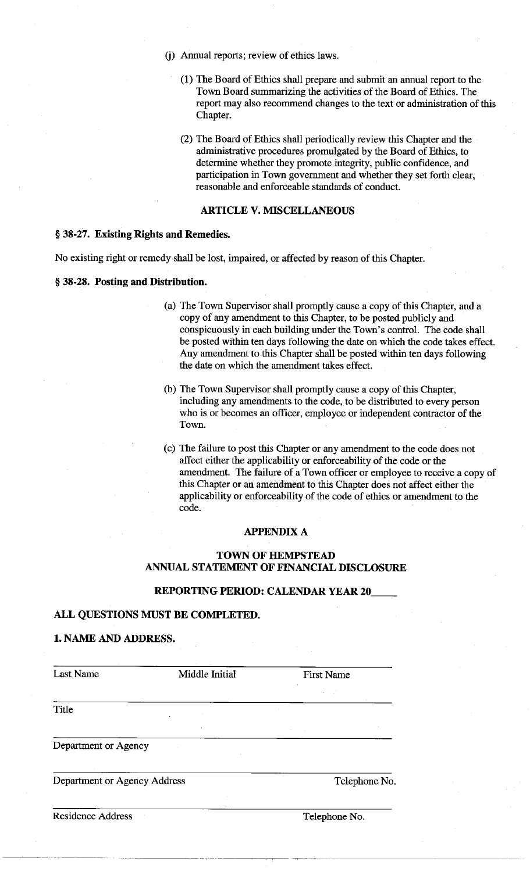- (j) Annual reports; review of ethics laws.
	- (1) The Board of Ethics shall prepare and submit an annual report to the Town Board summarizing the activities of the Board of Ethics. The report may also recommend changes to the text or administration of this Chapter.
	- (2) The Board of Ethics shall periodically review this Chapter and the administrative procedures promulgated by the Board of Ethics, to determine whether they promote integrity, public confidence, and participation in Town government and whether they set forth clear, reasonable and enforceable standards of conduct.

# **ARTICLE V. MISCELLANEOUS**

# § **38-27. Existing Rights and Remedies.**

No existing right or remedy shall be lost, impaired, or affected by reason of this Chapter.

### § **38-28. Posting and Distribution.**

- (a) The Town Supervisor shall promptly cause a copy of this Chapter, and a copy of any amendment to this Chapter, to be posted publicly and conspicuously in each building under the Town's control. The code shall be posted within ten days following the date on which the code takes effect. Any amendment to this Chapter shall be posted within ten days following the date on which the amendment takes effect.
- (b) The Town Supervisor shall promptly cause a copy of this Chapter, including any amendments to the code, to be distributed to every person who is or becomes an officer, employee or independent contractor of the Town.
- ( c) The failure to post this Chapter or any amendment to the code does not affect either the applicability or enforceability of the code or the amendment. The failure of a Town officer or employee to receive a copy of this Chapter or an amendment to this Chapter does not affect either the applicability or enforceability of the code of ethics or amendment to the code.

#### **APPENDIX A**

## **TOWN OF HEMPSTEAD ANNUAL STATEMENT OF FINANCIAL DISCLOSURE**

### **REPORTING PERIOD: CALENDAR YEAR 20**

---~,------ -....,.------ -----

## **ALL QUESTIONS MUST BE COMPLETED.**

# **1. NAME AND ADDRESS.**

| <b>Last Name</b>             | Middle Initial | <b>First Name</b> |
|------------------------------|----------------|-------------------|
|                              |                |                   |
| Title                        |                |                   |
|                              |                |                   |
| Department or Agency         |                |                   |
| Department or Agency Address |                | Telephone No.     |
| <b>Residence Address</b>     |                | Telephone No.     |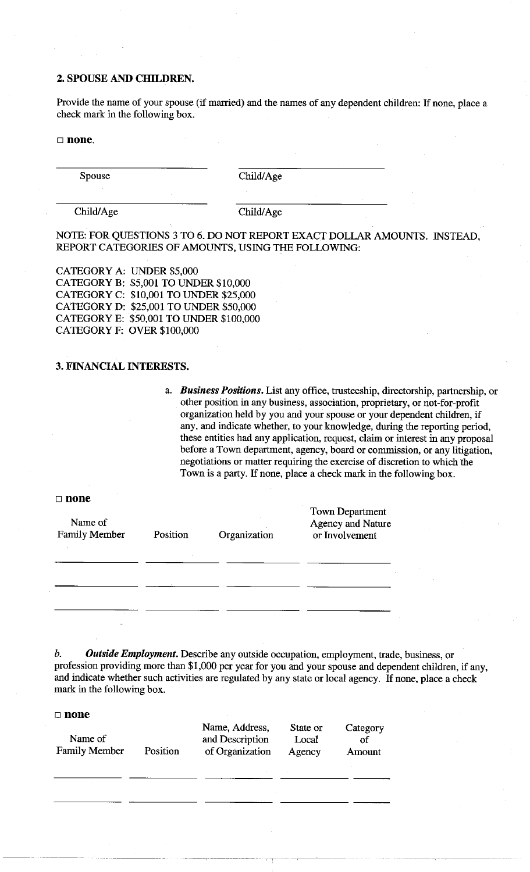## **2. SPOUSE AND CHILDREN.**

Provide the name of your spouse (if married) and the names of any dependent children: If none, place a check mark in the following box.

### □ **none.**

Spouse Child/Age

Child/Age Child/Age

NOTE: FOR QUESTIONS 3 TO 6. DO NOT REPORT EXACT DOLLAR AMOUNTS. INSTEAD, REPORT CATEGORIES OF AMOUNTS, USING THE FOLLOWING:

CATEGORY A: UNDER \$5,000 CATEGORY B: \$5,001 TO UNDER \$10,000 CATEGORY C: \$10,001 TO UNDER \$25,000 CATEGORY D: \$25,001 TO UNDER \$50,000 CATEGORY E: \$50,001 TO UNDER \$100,000 CATEGORY F: OVER \$100,000

# **3. FINANCIAL INTERESTS.**

a. *Business Positions.* List any office, trusteeship, directorship, partnership, or other position in any business, association, proprietary, or not-for-profit organization held by you and your spouse or your dependent children, if any, and indicate whether, to your knowledge, during the reporting period, these entities had any application, request, claim or interest **in** any proposal before a Town department, agency, board or commission, or any litigation, negotiations or matter requiring the exercise of discretion to which the Town is a party. If none, place a check mark in the following box.

#### □ **none**

| Name of<br><b>Family Member</b> | Position | Organization | Town Department<br><b>Agency and Nature</b><br>or Involvement |
|---------------------------------|----------|--------------|---------------------------------------------------------------|
|                                 |          |              |                                                               |
|                                 |          |              |                                                               |

*b. Outside Employment.* Describe any outside occupation, employment, trade, business, or profession providing more than \$1,000 per year for you and your spouse and dependent children, if any, and indicate whether such activities are regulated by any state or local agency. If none, place a check mark in the following box.

| Name of<br><b>Family Member</b> | Position | Name, Address,<br>and Description<br>of Organization | State or<br>Local<br>Agency | Category<br>of<br>Amount |
|---------------------------------|----------|------------------------------------------------------|-----------------------------|--------------------------|
|                                 |          | ALC: UNK                                             |                             |                          |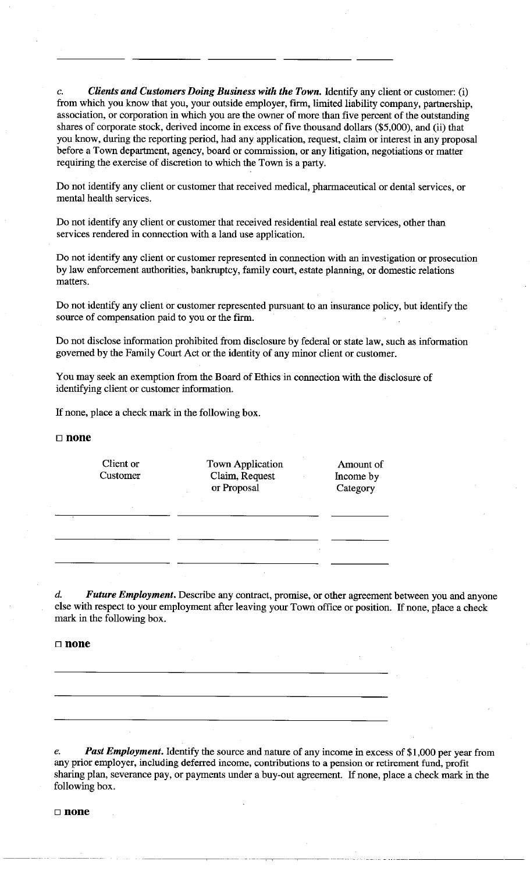*c. Clients and Customers Doing Business with the Town.* Identify any client or customer: (i) from which you know that you, your outside employer, firm, limited liability company, partnership, association, or corporation **in** which you are the owner of more than five percent of the outstanding shares of corporate stock, derived income in excess of five thousand dollars (\$5,000), and (ii) that you know, during the reporting period, had any application, request, claim or interest in any proposal before a Town department, agency, board or commission, or any litigation, negotiations or matter requiring the exercise of discretion to which the Town is a party.

Do not identify any client or customer that received medical, pharmaceutical or dental services, or mental health services.

Do not identify any client or customer that received residential real estate services, other than services rendered in connection with a land use application.

Do not identify any client or customer represented in connection with an investigation or prosecution by law enforcement authorities, bankruptcy, family court, estate planning, or domestic relations matters.

Do not identify any client or customer represented pursuant to an insurance policy, but identify the source of compensation paid to you or the firm.

Do not disclose information prohibited from disclosure by federal or state law, such as information governed by the Family Court Act or the identity of any minor client or customer.

You may seek an exemption from the Board of Ethics in connection with the disclosure of identifying client or customer information.

If none, place a check mark in the following box.

□ **none** 

| Client or<br>Customer | <b>Town Application</b><br>Claim, Request<br>or Proposal | Amount of<br>Income by<br>Category |
|-----------------------|----------------------------------------------------------|------------------------------------|
| $\sim$                |                                                          |                                    |
| $\sim$ 100 $\pm$      |                                                          |                                    |
|                       |                                                          |                                    |
|                       |                                                          |                                    |

d. *Future Employment.* Describe any contract, promise, or other agreement between you and anyone else with respect to your employment after leaving your Town office or position. If none, place a check mark in the following box.

□ **none** 

*e. Past Employment.* Identify the source and nature of any income in excess of \$1,000 per year from any prior employer, including deferred income, contributions to a pension or retirement fund, profit sharing plan, severance pay, or payments under a buy-out agreement. If none, place a check mark in the following box.

--------,---,------ --~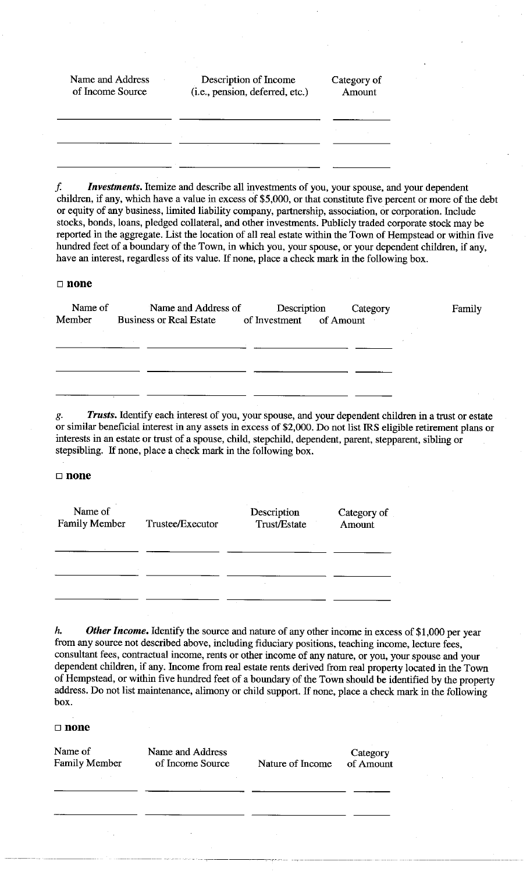| Name and Address<br>of Income Source | Description of Income<br>(i.e., pension, deferred, etc.) | Category of<br>Amount |
|--------------------------------------|----------------------------------------------------------|-----------------------|
|                                      |                                                          |                       |
|                                      |                                                          |                       |
|                                      |                                                          |                       |

*f Investments.* Itemize and describe all investments of you, your spouse, and your dependent children, if any, which have a value in excess of \$5,000, or that constitute five percent or more of the debt or equity of any business, limited liability company, partnership, association, or corporation. Include stocks, bonds, loans, pledged collateral, and other investments. Publicly traded corporate stock may be reported in the aggregate. List the location of all real estate within the Town of Hempstead or within five hundred feet of a boundary of the Town, in which you, your spouse, or your dependent children, if any, have an interest, regardless of its value. If none, place a check mark in the following box.

#### □ **none**

| Name of<br>Member | Name and Address of Description Category<br>Business or Real Estate of Investment of Amount | Family |
|-------------------|---------------------------------------------------------------------------------------------|--------|
| <b>Contractor</b> |                                                                                             |        |
|                   |                                                                                             |        |
|                   |                                                                                             |        |

Trusts. Identify each interest of you, your spouse, and your dependent children in a trust or estate or similar beneficial interest in any assets in excess of \$2,000. Do not list IRS eligible retirement plans or interests in an estate or trust of a spouse, child, stepchild, dependent, parent, stepparent, sibling or stepsibling. If none, place a check mark in the following box.

## □ **none**

| Name of<br><b>Family Member</b> | Trustee/Executor | Description<br>Trust/Estate | Category of<br>Amount |
|---------------------------------|------------------|-----------------------------|-----------------------|
|                                 |                  |                             |                       |
|                                 |                  |                             |                       |
|                                 |                  |                             |                       |

*h. Other Income.* Identify the source and nature of any other income in excess of \$1,000 per year from any source not described above, including fiduciary positions, teaching income, lecture fees, consultant fees, contractual income, rents or other income of any nature, or you, your spouse and your dependent children, if any. Income from real estate rents derived from real property located in the Town of Hempstead, or within five hundred feet of a boundary of the Town should be identified by the property address. Do not list maintenance, alimony or child support. If none, place a check mark in the following box.

| Name of<br><b>Family Member</b> | Name and Address<br>of Income Source | Nature of Income | Category<br>of Amount |
|---------------------------------|--------------------------------------|------------------|-----------------------|
|                                 |                                      |                  |                       |
|                                 |                                      |                  |                       |
|                                 | ×.                                   |                  |                       |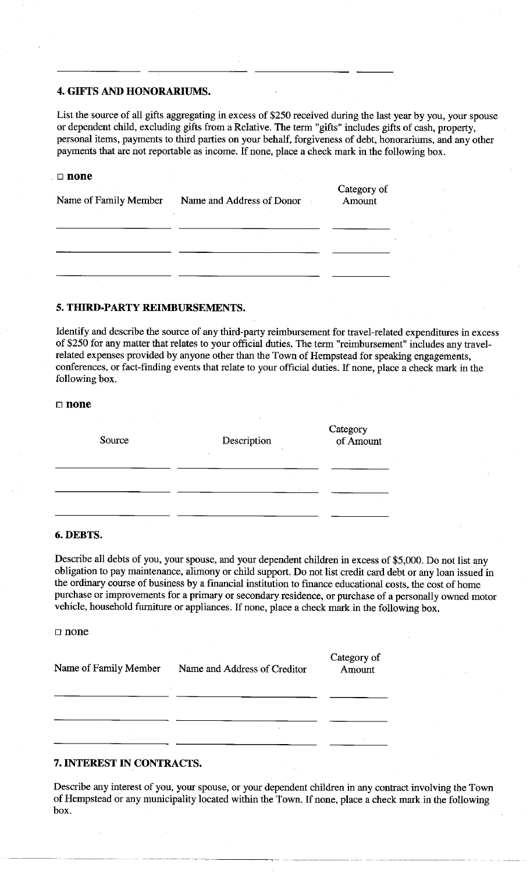### **4. GIFTS AND HONORARIUMS.**

List the source of all gifts aggregating in excess of \$250 received during the last year by you, your spouse or dependent child, excluding gifts from a Relative. The term "gifts" includes gifts of cash, property, personal items, payments to third parties on your behalf, forgiveness of debt, honorariums, and any other payments that are not reportable as income. If none, place a check mark in the following box.

| none<br>П<br>Name of Family Member | and the control of<br>Name and Address of Donor | Category of<br>Amount |
|------------------------------------|-------------------------------------------------|-----------------------|
|                                    |                                                 |                       |
|                                    |                                                 |                       |

# **5. THIRD-PARTY REIMBURSEMENTS.**

Identify and describe the source of any third-party reimbursement for travel-related expenditures in excess of \$250 for any matter that relates to your official duties. The term "reimbursement" includes any travelrelated expenses provided by anyone other than the Town of Hempstead for speaking engagements, conferences, or fact-finding events that relate to your official duties. If none, place a check mark in the following box.

#### □ **none**

| the company of the<br>All Corp.<br>$\sim$<br>Source | Description<br>$\sim$<br>$\sim 10^{-1}$ | Category<br>of Amount |
|-----------------------------------------------------|-----------------------------------------|-----------------------|
|                                                     | <b>Contractor</b>                       |                       |
|                                                     |                                         | $\sim$                |
| <b>Service</b>                                      |                                         |                       |

## **6.DEBTS.**

Describe all debts of you, your spouse, and your dependent children in excess of \$5,000. Do not list any obligation to pay maintenance, alimony or child support. Do not list credit card debt or any loan issued in the ordinary course of business by a financial institution to finance educational costs, the cost of home purchase or improvements for a primary or secondary residence, or purchase of a personally owned motor vehicle, household furniture or appliances. If none, place a check mark in the following box.

 $\Box$  none

| Name of Family Member | Name and Address of Creditor | Category of<br>Amount |  |
|-----------------------|------------------------------|-----------------------|--|
|                       |                              |                       |  |
| $\sim$ $\sim$         | $\sim$                       |                       |  |
|                       |                              |                       |  |

# **7. INTEREST IN CONTRACTS.**

Describe any interest of you, your spouse, or your dependent children in any contract involving the Town of Hempstead or any municipality located within the Town. If none, place a check mark in the following box.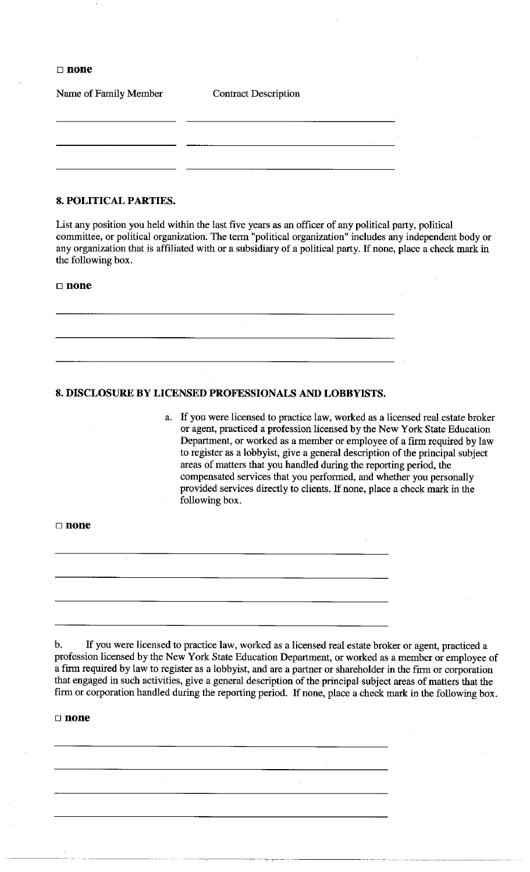□ **none** 

| Name of Family Member | <b>Contract Description</b> |  |  |
|-----------------------|-----------------------------|--|--|
|                       |                             |  |  |
|                       |                             |  |  |
|                       | $\sim$                      |  |  |
|                       | . н.                        |  |  |

# **8. POLITICAL PARTIES.**

List any position you held within the last five years as an officer of any political party, political committee, or political organization. The term "political organization" includes any independent body or any organization that is affiliated with or a subsidiary of a political party. If none, place a check mark in the following box.

## □ **none**

**8. DISCLOSURE BY LICENSED PROFESSIONALS AND LOBBYISTS.** 

a. If you were licensed to practice law, worked as a licensed real estate broker or agent, practiced a profession licensed by the New York State Education Department, or worked as a member or employee of a firm required by law to register as a lobbyist, give a general description of the principal subject areas of matters that you handled during the reporting period, the compensated services that you performed, and whether you personally provided services directly to clients. If none, place a check mark in the following box.

-- -------------

| $\Box$ none |        |    |  |
|-------------|--------|----|--|
|             |        |    |  |
|             | $\sim$ |    |  |
|             |        |    |  |
|             |        | ٠. |  |
|             |        |    |  |

b. If you were licensed to practice law, worked as a licensed real estate broker or agent, practiced a profession licensed by the New York State Education Department, or worked as a member or employee of a firm required by law to register as a lobbyist, and are a partner or shareholder in the firm or corporation that engaged in such activities, give a general description of the principal subject areas of matters that the firm or corporation handled during the reporting period. If none, place a check mark in the following box.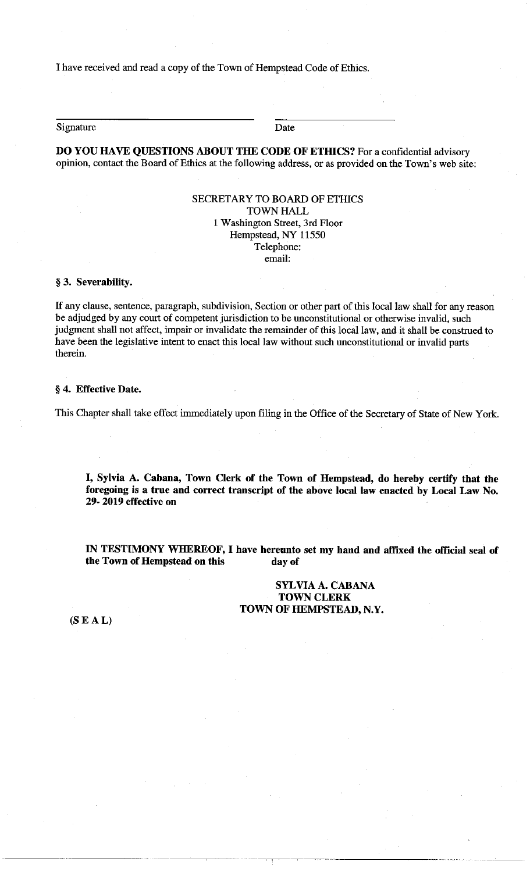I have received and read a copy of the Town of Hempstead Code of Ethics.

Signature Date

**DO YOU HAVE QUESTIONS ABOUT THE CODE OF ETHICS?** For a confidential advisory opinion, contact the Board of Ethics at the following address, or as provided on the Town's web site:

# SECRETARY TO BOARD OF ETHICS **TOWN HALL** 1 Washington Street, 3rd Floor Hempstead, NY 11550 Telephone:

email:

## § **3. Severability.**

If any clause, sentence, paragraph, subdivision, Section or other part of this local law shall for any reason be adjudged by any court of competent jurisdiction to be unconstitutional or otherwise invalid, such judgment shall not affect, impair or invalidate the remainder of this local law, and it shall be construed to have been the legislative intent to enact this local law without such unconstitutional or invalid parts therein.

#### § **4. Effective Date.**

This Chapter shall take effect immediately upon filing in the Office of the Secretary of State of New York.

I, **Sylvia A. Cabana, Town Clerk of the Town of Hempstead, do hereby certify that the foregoing is a true and correct transcript of the above local law enacted by Local Law No. 29- 2019 effective on** 

**IN TESTIMONY WHEREOF,** I **have hereunto set my hand and affixed the official seal of the Town of Hempstead on this day of** 

> **SYLVIA A. CABANA TOWN CLERK TOWN OF HEMPSTEAD, N.Y.**

**(SE AL)**